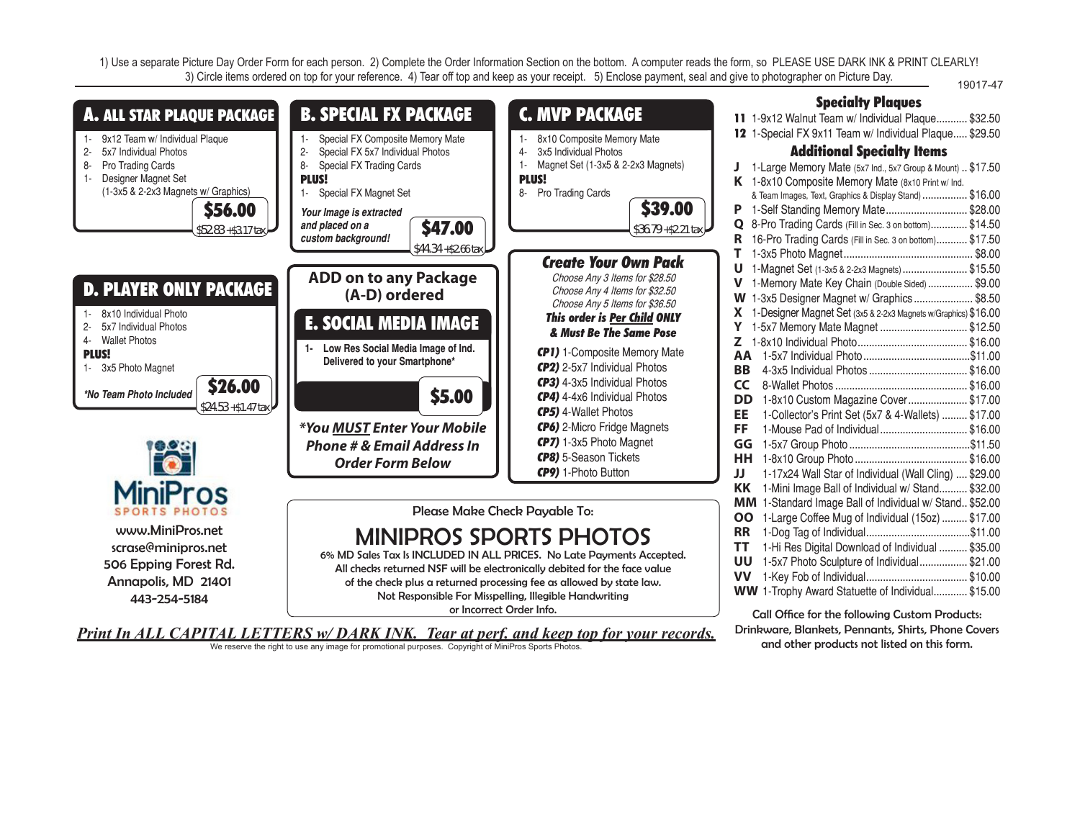1) Use a separate Picture Day Order Form for each person. 2) Complete the Order Information Section on the bottom. A computer reads the form, so PLEASE USE DARK INK & PRINT CLEARLY! 3) Circle items ordered on top for your reference. 4) Tear off top and keep as your receipt. 5) Enclose payment, seal and give to photographer on Picture Day. 19017-47



and other products not listed on this form.

*Print In ALL CAPITAL LETTERS w/ DARK INK. Tear at perf. and keep top for your records.* We reserve the right to use any image for promotional purposes. Copyright of MiniPros Sports Photos.